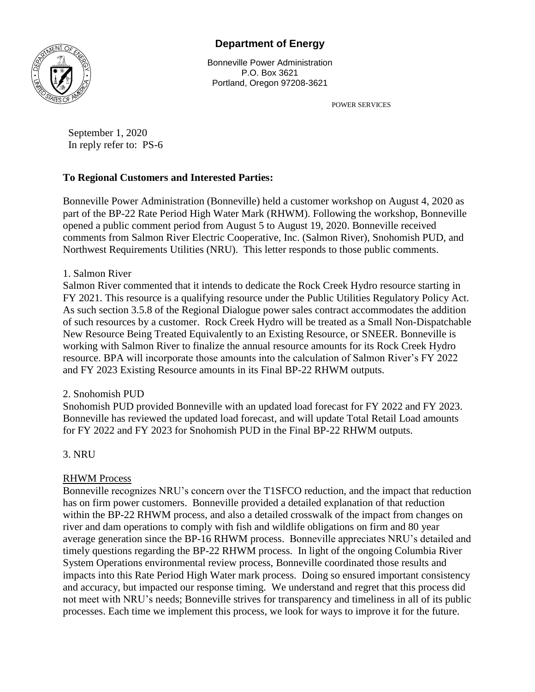# **Department of Energy**



Bonneville Power Administration P.O. Box 3621 Portland, Oregon 97208-3621

POWER SERVICES

September 1, 2020 In reply refer to: PS-6

## **To Regional Customers and Interested Parties:**

Bonneville Power Administration (Bonneville) held a customer workshop on August 4, 2020 as part of the BP-22 Rate Period High Water Mark (RHWM). Following the workshop, Bonneville opened a public comment period from August 5 to August 19, 2020. Bonneville received comments from Salmon River Electric Cooperative, Inc. (Salmon River), Snohomish PUD, and Northwest Requirements Utilities (NRU). This letter responds to those public comments.

## 1. Salmon River

Salmon River commented that it intends to dedicate the Rock Creek Hydro resource starting in FY 2021. This resource is a qualifying resource under the Public Utilities Regulatory Policy Act. As such section 3.5.8 of the Regional Dialogue power sales contract accommodates the addition of such resources by a customer. Rock Creek Hydro will be treated as a Small Non-Dispatchable New Resource Being Treated Equivalently to an Existing Resource, or SNEER. Bonneville is working with Salmon River to finalize the annual resource amounts for its Rock Creek Hydro resource. BPA will incorporate those amounts into the calculation of Salmon River's FY 2022 and FY 2023 Existing Resource amounts in its Final BP-22 RHWM outputs.

## 2. Snohomish PUD

Snohomish PUD provided Bonneville with an updated load forecast for FY 2022 and FY 2023. Bonneville has reviewed the updated load forecast, and will update Total Retail Load amounts for FY 2022 and FY 2023 for Snohomish PUD in the Final BP-22 RHWM outputs.

3. NRU

## RHWM Process

Bonneville recognizes NRU's concern over the T1SFCO reduction, and the impact that reduction has on firm power customers. Bonneville provided a detailed explanation of that reduction within the BP-22 RHWM process, and also a detailed crosswalk of the impact from changes on river and dam operations to comply with fish and wildlife obligations on firm and 80 year average generation since the BP-16 RHWM process. Bonneville appreciates NRU's detailed and timely questions regarding the BP-22 RHWM process. In light of the ongoing Columbia River System Operations environmental review process, Bonneville coordinated those results and impacts into this Rate Period High Water mark process. Doing so ensured important consistency and accuracy, but impacted our response timing. We understand and regret that this process did not meet with NRU's needs; Bonneville strives for transparency and timeliness in all of its public processes. Each time we implement this process, we look for ways to improve it for the future.